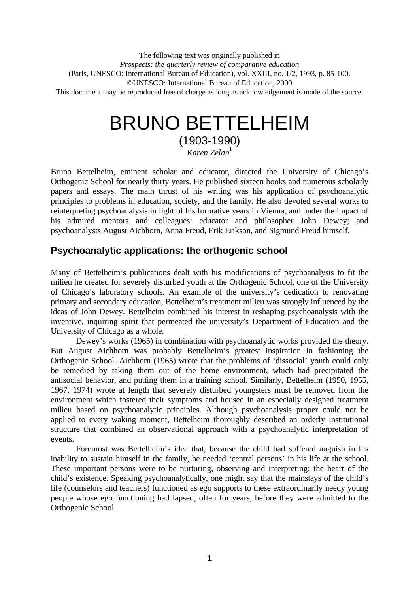The following text was originally published in *Prospects: the quarterly review of comparative education* (Paris, UNESCO: International Bureau of Education), vol. XXIII, no. 1/2, 1993, p. 85-100. ©UNESCO: International Bureau of Education, 2000 This document may be reproduced free of charge as long as acknowledgement is made of the source.

# BRUNO BETTELHEIM

(1903-1990) *Karen Zelan*<sup>1</sup>

Bruno Bettelheim, eminent scholar and educator, directed the University of Chicago's Orthogenic School for nearly thirty years. He published sixteen books and numerous scholarly papers and essays. The main thrust of his writing was his application of psychoanalytic principles to problems in education, society, and the family. He also devoted several works to reinterpreting psychoanalysis in light of his formative years in Vienna, and under the impact of his admired mentors and colleagues: educator and philosopher John Dewey; and psychoanalysts August Aichhorn, Anna Freud, Erik Erikson, and Sigmund Freud himself.

# **Psychoanalytic applications: the orthogenic school**

Many of Bettelheim's publications dealt with his modifications of psychoanalysis to fit the milieu he created for severely disturbed youth at the Orthogenic School, one of the University of Chicago's laboratory schools. An example of the university's dedication to renovating primary and secondary education, Bettelheim's treatment milieu was strongly influenced by the ideas of John Dewey. Bettelheim combined his interest in reshaping psychoanalysis with the inventive, inquiring spirit that permeated the university's Department of Education and the University of Chicago as a whole.

Dewey's works (1965) in combination with psychoanalytic works provided the theory. But August Aichhorn was probably Bettelheim's greatest inspiration in fashioning the Orthogenic School. Aichhorn (1965) wrote that the problems of 'dissocial' youth could only be remedied by taking them out of the home environment, which had precipitated the antisocial behavior, and putting them in a training school. Similarly, Bettelheim (1950, 1955, 1967, 1974) wrote at length that severely disturbed youngsters must be removed from the environment which fostered their symptoms and housed in an especially designed treatment milieu based on psychoanalytic principles. Although psychoanalysis proper could not be applied to every waking moment, Bettelheim thoroughly described an orderly institutional structure that combined an observational approach with a psychoanalytic interpretation of events.

Foremost was Bettelheim's idea that, because the child had suffered anguish in his inability to sustain himself in the family, he needed 'central persons' in his life at the school. These important persons were to be nurturing, observing and interpreting: the heart of the child's existence. Speaking psychoanalytically, one might say that the mainstays of the child's life (counselors and teachers) functioned as ego supports to these extraordinarily needy young people whose ego functioning had lapsed, often for years, before they were admitted to the Orthogenic School.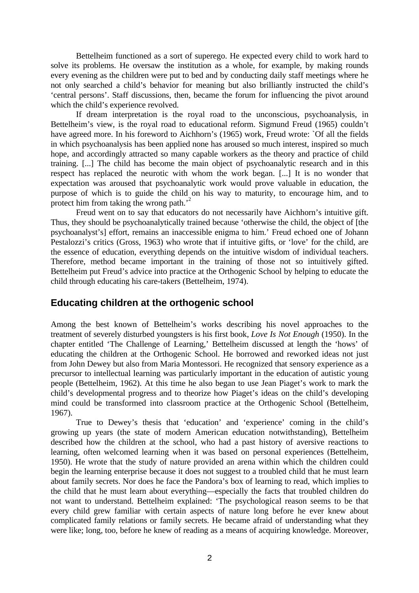Bettelheim functioned as a sort of superego. He expected every child to work hard to solve its problems. He oversaw the institution as a whole, for example, by making rounds every evening as the children were put to bed and by conducting daily staff meetings where he not only searched a child's behavior for meaning but also brilliantly instructed the child's 'central persons'. Staff discussions, then, became the forum for influencing the pivot around which the child's experience revolved.

If dream interpretation is the royal road to the unconscious, psychoanalysis, in Bettelheim's view, is the royal road to educational reform. Sigmund Freud (1965) couldn't have agreed more. In his foreword to Aichhorn's (1965) work, Freud wrote: `Of all the fields in which psychoanalysis has been applied none has aroused so much interest, inspired so much hope, and accordingly attracted so many capable workers as the theory and practice of child training. [...] The child has become the main object of psychoanalytic research and in this respect has replaced the neurotic with whom the work began. [...] It is no wonder that expectation was aroused that psychoanalytic work would prove valuable in education, the purpose of which is to guide the child on his way to maturity, to encourage him, and to protect him from taking the wrong path.'<sup>2</sup>

Freud went on to say that educators do not necessarily have Aichhorn's intuitive gift. Thus, they should be psychoanalytically trained because 'otherwise the child, the object of [the psychoanalyst's] effort, remains an inaccessible enigma to him.' Freud echoed one of Johann Pestalozzi's critics (Gross, 1963) who wrote that if intuitive gifts, or 'love' for the child, are the essence of education, everything depends on the intuitive wisdom of individual teachers. Therefore, method became important in the training of those not so intuitively gifted. Bettelheim put Freud's advice into practice at the Orthogenic School by helping to educate the child through educating his care-takers (Bettelheim, 1974).

## **Educating children at the orthogenic school**

Among the best known of Bettelheim's works describing his novel approaches to the treatment of severely disturbed youngsters is his first book, *Love Is Not Enough* (1950). In the chapter entitled 'The Challenge of Learning,' Bettelheim discussed at length the 'hows' of educating the children at the Orthogenic School. He borrowed and reworked ideas not just from John Dewey but also from Maria Montessori. He recognized that sensory experience as a precursor to intellectual learning was particularly important in the education of autistic young people (Bettelheim, 1962). At this time he also began to use Jean Piaget's work to mark the child's developmental progress and to theorize how Piaget's ideas on the child's developing mind could be transformed into classroom practice at the Orthogenic School (Bettelheim, 1967).

True to Dewey's thesis that 'education' and 'experience' coming in the child's growing up years (the state of modern American education notwithstanding), Bettelheim described how the children at the school, who had a past history of aversive reactions to learning, often welcomed learning when it was based on personal experiences (Bettelheim, 1950). He wrote that the study of nature provided an arena within which the children could begin the learning enterprise because it does not suggest to a troubled child that he must learn about family secrets. Nor does he face the Pandora's box of learning to read, which implies to the child that he must learn about everything—especially the facts that troubled children do not want to understand. Bettelheim explained: 'The psychological reason seems to be that every child grew familiar with certain aspects of nature long before he ever knew about complicated family relations or family secrets. He became afraid of understanding what they were like; long, too, before he knew of reading as a means of acquiring knowledge. Moreover,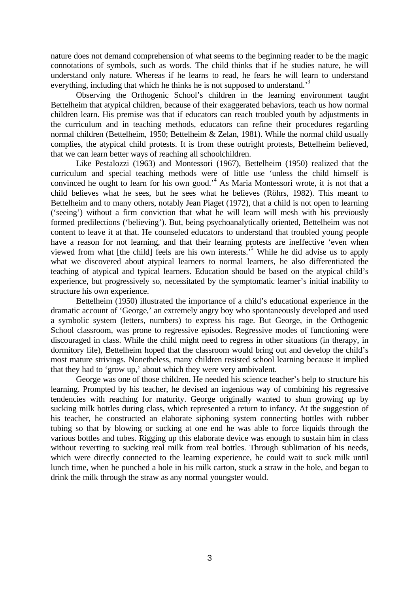nature does not demand comprehension of what seems to the beginning reader to be the magic connotations of symbols, such as words. The child thinks that if he studies nature, he will understand only nature. Whereas if he learns to read, he fears he will learn to understand everything, including that which he thinks he is not supposed to understand.<sup>3</sup>

Observing the Orthogenic School's children in the learning environment taught Bettelheim that atypical children, because of their exaggerated behaviors, teach us how normal children learn. His premise was that if educators can reach troubled youth by adjustments in the curriculum and in teaching methods, educators can refine their procedures regarding normal children (Bettelheim, 1950; Bettelheim & Zelan, 1981). While the normal child usually complies, the atypical child protests. It is from these outright protests, Bettelheim believed, that we can learn better ways of reaching all schoolchildren.

Like Pestalozzi (1963) and Montessori (1967), Bettelheim (1950) realized that the curriculum and special teaching methods were of little use 'unless the child himself is convinced he ought to learn for his own good.<sup>4</sup> As Maria Montessori wrote, it is not that a child believes what he sees, but he sees what he believes (Röhrs, 1982). This meant to Bettelheim and to many others, notably Jean Piaget (1972), that a child is not open to learning ('seeing') without a firm conviction that what he will learn will mesh with his previously formed predilections ('believing'). But, being psychoanalytically oriented, Bettelheim was not content to leave it at that. He counseled educators to understand that troubled young people have a reason for not learning, and that their learning protests are ineffective 'even when viewed from what [the child] feels are his own interests.<sup>5</sup> While he did advise us to apply what we discovered about atypical learners to normal learners, he also differentiated the teaching of atypical and typical learners. Education should be based on the atypical child's experience, but progressively so, necessitated by the symptomatic learner's initial inability to structure his own experience.

Bettelheim (1950) illustrated the importance of a child's educational experience in the dramatic account of 'George,' an extremely angry boy who spontaneously developed and used a symbolic system (letters, numbers) to express his rage. But George, in the Orthogenic School classroom, was prone to regressive episodes. Regressive modes of functioning were discouraged in class. While the child might need to regress in other situations (in therapy, in dormitory life), Bettelheim hoped that the classroom would bring out and develop the child's most mature strivings. Nonetheless, many children resisted school learning because it implied that they had to 'grow up,' about which they were very ambivalent.

George was one of those children. He needed his science teacher's help to structure his learning. Prompted by his teacher, he devised an ingenious way of combining his regressive tendencies with reaching for maturity. George originally wanted to shun growing up by sucking milk bottles during class, which represented a return to infancy. At the suggestion of his teacher, he constructed an elaborate siphoning system connecting bottles with rubber tubing so that by blowing or sucking at one end he was able to force liquids through the various bottles and tubes. Rigging up this elaborate device was enough to sustain him in class without reverting to sucking real milk from real bottles. Through sublimation of his needs, which were directly connected to the learning experience, he could wait to suck milk until lunch time, when he punched a hole in his milk carton, stuck a straw in the hole, and began to drink the milk through the straw as any normal youngster would.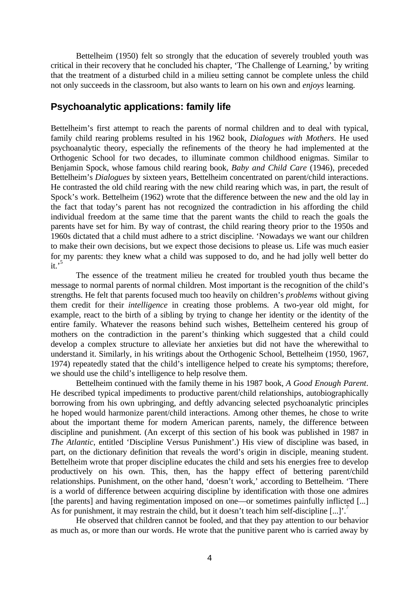Bettelheim (1950) felt so strongly that the education of severely troubled youth was critical in their recovery that he concluded his chapter, 'The Challenge of Learning,' by writing that the treatment of a disturbed child in a milieu setting cannot be complete unless the child not only succeeds in the classroom, but also wants to learn on his own and *enjoys* learning.

#### **Psychoanalytic applications: family life**

Bettelheim's first attempt to reach the parents of normal children and to deal with typical, family child rearing problems resulted in his 1962 book, *Dialogues with Mothers*. He used psychoanalytic theory, especially the refinements of the theory he had implemented at the Orthogenic School for two decades, to illuminate common childhood enigmas. Similar to Benjamin Spock, whose famous child rearing book, *Baby and Child Care* (1946), preceded Bettelheim's *Dialogues* by sixteen years, Bettelheim concentrated on parent/child interactions. He contrasted the old child rearing with the new child rearing which was, in part, the result of Spock's work. Bettelheim (1962) wrote that the difference between the new and the old lay in the fact that today's parent has not recognized the contradiction in his affording the child individual freedom at the same time that the parent wants the child to reach the goals the parents have set for him. By way of contrast, the child rearing theory prior to the 1950s and 1960s dictated that a child must adhere to a strict discipline. 'Nowadays we want our children to make their own decisions, but we expect those decisions to please us. Life was much easier for my parents: they knew what a child was supposed to do, and he had jolly well better do  $\mathbf{H}$ <sup> $,5$ </sup>

The essence of the treatment milieu he created for troubled youth thus became the message to normal parents of normal children. Most important is the recognition of the child's strengths. He felt that parents focused much too heavily on children's *problems* without giving them credit for their *intelligence* in creating those problems. A two-year old might, for example, react to the birth of a sibling by trying to change her identity or the identity of the entire family. Whatever the reasons behind such wishes, Bettelheim centered his group of mothers on the contradiction in the parent's thinking which suggested that a child could develop a complex structure to alleviate her anxieties but did not have the wherewithal to understand it. Similarly, in his writings about the Orthogenic School, Bettelheim (1950, 1967, 1974) repeatedly stated that the child's intelligence helped to create his symptoms; therefore, we should use the child's intelligence to help resolve them.

Bettelheim continued with the family theme in his 1987 book, *A Good Enough Parent*. He described typical impediments to productive parent/child relationships, autobiographically borrowing from his own upbringing, and deftly advancing selected psychoanalytic principles he hoped would harmonize parent/child interactions. Among other themes, he chose to write about the important theme for modern American parents, namely, the difference between discipline and punishment. (An excerpt of this section of his book was published in 1987 in *The Atlantic*, entitled 'Discipline Versus Punishment'.) His view of discipline was based, in part, on the dictionary definition that reveals the word's origin in disciple, meaning student. Bettelheim wrote that proper discipline educates the child and sets his energies free to develop productively on his own. This, then, has the happy effect of bettering parent/child relationships. Punishment, on the other hand, 'doesn't work,' according to Bettelheim. 'There is a world of difference between acquiring discipline by identification with those one admires [the parents] and having regimentation imposed on one—or sometimes painfully inflicted [...] As for punishment, it may restrain the child, but it doesn't teach him self-discipline [...]'.<sup>7</sup>

He observed that children cannot be fooled, and that they pay attention to our behavior as much as, or more than our words. He wrote that the punitive parent who is carried away by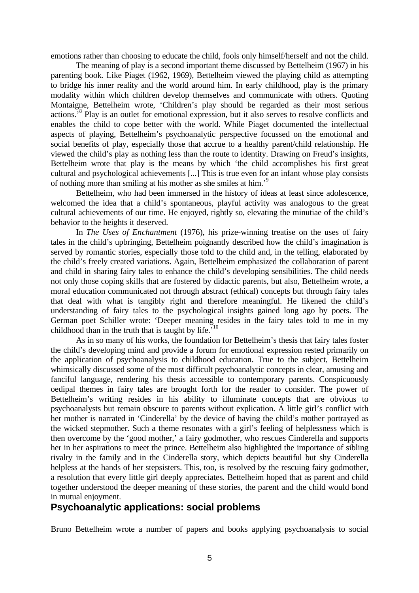emotions rather than choosing to educate the child, fools only himself/herself and not the child.

The meaning of play is a second important theme discussed by Bettelheim (1967) in his parenting book. Like Piaget (1962, 1969), Bettelheim viewed the playing child as attempting to bridge his inner reality and the world around him. In early childhood, play is the primary modality within which children develop themselves and communicate with others. Quoting Montaigne, Bettelheim wrote, 'Children's play should be regarded as their most serious actions.<sup>8</sup> Play is an outlet for emotional expression, but it also serves to resolve conflicts and enables the child to cope better with the world. While Piaget documented the intellectual aspects of playing, Bettelheim's psychoanalytic perspective focussed on the emotional and social benefits of play, especially those that accrue to a healthy parent/child relationship. He viewed the child's play as nothing less than the route to identity. Drawing on Freud's insights, Bettelheim wrote that play is the means by which 'the child accomplishes his first great cultural and psychological achievements [...] This is true even for an infant whose play consists of nothing more than smiling at his mother as she smiles at him.'<sup>9</sup>

Bettelheim, who had been immersed in the history of ideas at least since adolescence, welcomed the idea that a child's spontaneous, playful activity was analogous to the great cultural achievements of our time. He enjoyed, rightly so, elevating the minutiae of the child's behavior to the heights it deserved.

In *The Uses of Enchantment* (1976), his prize-winning treatise on the uses of fairy tales in the child's upbringing, Bettelheim poignantly described how the child's imagination is served by romantic stories, especially those told to the child and, in the telling, elaborated by the child's freely created variations. Again, Bettelheim emphasized the collaboration of parent and child in sharing fairy tales to enhance the child's developing sensibilities. The child needs not only those coping skills that are fostered by didactic parents, but also, Bettelheim wrote, a moral education communicated not through abstract (ethical) concepts but through fairy tales that deal with what is tangibly right and therefore meaningful. He likened the child's understanding of fairy tales to the psychological insights gained long ago by poets. The German poet Schiller wrote: 'Deeper meaning resides in the fairy tales told to me in my childhood than in the truth that is taught by life.<sup>510</sup>

As in so many of his works, the foundation for Bettelheim's thesis that fairy tales foster the child's developing mind and provide a forum for emotional expression rested primarily on the application of psychoanalysis to childhood education. True to the subject, Bettelheim whimsically discussed some of the most difficult psychoanalytic concepts in clear, amusing and fanciful language, rendering his thesis accessible to contemporary parents. Conspicuously oedipal themes in fairy tales are brought forth for the reader to consider. The power of Bettelheim's writing resides in his ability to illuminate concepts that are obvious to psychoanalysts but remain obscure to parents without explication. A little girl's conflict with her mother is narrated in 'Cinderella' by the device of having the child's mother portrayed as the wicked stepmother. Such a theme resonates with a girl's feeling of helplessness which is then overcome by the 'good mother,' a fairy godmother, who rescues Cinderella and supports her in her aspirations to meet the prince. Bettelheim also highlighted the importance of sibling rivalry in the family and in the Cinderella story, which depicts beautiful but shy Cinderella helpless at the hands of her stepsisters. This, too, is resolved by the rescuing fairy godmother, a resolution that every little girl deeply appreciates. Bettelheim hoped that as parent and child together understood the deeper meaning of these stories, the parent and the child would bond in mutual enjoyment.

## **Psychoanalytic applications: social problems**

Bruno Bettelheim wrote a number of papers and books applying psychoanalysis to social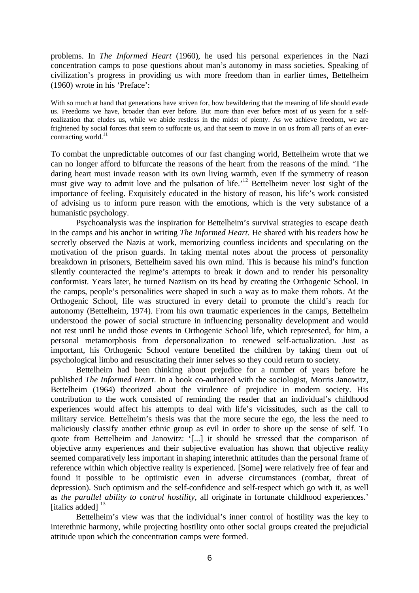problems. In *The Informed Heart* (1960), he used his personal experiences in the Nazi concentration camps to pose questions about man's autonomy in mass societies. Speaking of civilization's progress in providing us with more freedom than in earlier times, Bettelheim (1960) wrote in his 'Preface':

With so much at hand that generations have striven for, how bewildering that the meaning of life should evade us. Freedoms we have, broader than ever before. But more than ever before most of us yearn for a selfrealization that eludes us, while we abide restless in the midst of plenty. As we achieve freedom, we are frightened by social forces that seem to suffocate us, and that seem to move in on us from all parts of an evercontracting world.<sup>11</sup>

To combat the unpredictable outcomes of our fast changing world, Bettelheim wrote that we can no longer afford to bifurcate the reasons of the heart from the reasons of the mind. 'The daring heart must invade reason with its own living warmth, even if the symmetry of reason must give way to admit love and the pulsation of life.<sup>12</sup> Bettelheim never lost sight of the importance of feeling. Exquisitely educated in the history of reason, his life's work consisted of advising us to inform pure reason with the emotions, which is the very substance of a humanistic psychology.

Psychoanalysis was the inspiration for Bettelheim's survival strategies to escape death in the camps and his anchor in writing *The Informed Heart*. He shared with his readers how he secretly observed the Nazis at work, memorizing countless incidents and speculating on the motivation of the prison guards. In taking mental notes about the process of personality breakdown in prisoners, Bettelheim saved his own mind. This is because his mind's function silently counteracted the regime's attempts to break it down and to render his personality conformist. Years later, he turned Naziism on its head by creating the Orthogenic School. In the camps, people's personalities were shaped in such a way as to make them robots. At the Orthogenic School, life was structured in every detail to promote the child's reach for autonomy (Bettelheim, 1974). From his own traumatic experiences in the camps, Bettelheim understood the power of social structure in influencing personality development and would not rest until he undid those events in Orthogenic School life, which represented, for him, a personal metamorphosis from depersonalization to renewed self-actualization. Just as important, his Orthogenic School venture benefited the children by taking them out of psychological limbo and resuscitating their inner selves so they could return to society.

Bettelheim had been thinking about prejudice for a number of years before he published *The Informed Heart*. In a book co-authored with the sociologist, Morris Janowitz, Bettelheim (1964) theorized about the virulence of prejudice in modern society. His contribution to the work consisted of reminding the reader that an individual's childhood experiences would affect his attempts to deal with life's vicissitudes, such as the call to military service. Bettelheim's thesis was that the more secure the ego, the less the need to maliciously classify another ethnic group as evil in order to shore up the sense of self. To quote from Bettelheim and Janowitz: '[...] it should be stressed that the comparison of objective army experiences and their subjective evaluation has shown that objective reality seemed comparatively less important in shaping interethnic attitudes than the personal frame of reference within which objective reality is experienced. [Some] were relatively free of fear and found it possible to be optimistic even in adverse circumstances (combat, threat of depression). Such optimism and the self-confidence and self-respect which go with it, as well as *the parallel ability to control hostility*, all originate in fortunate childhood experiences.' [italics added]<sup>13</sup>

Bettelheim's view was that the individual's inner control of hostility was the key to interethnic harmony, while projecting hostility onto other social groups created the prejudicial attitude upon which the concentration camps were formed.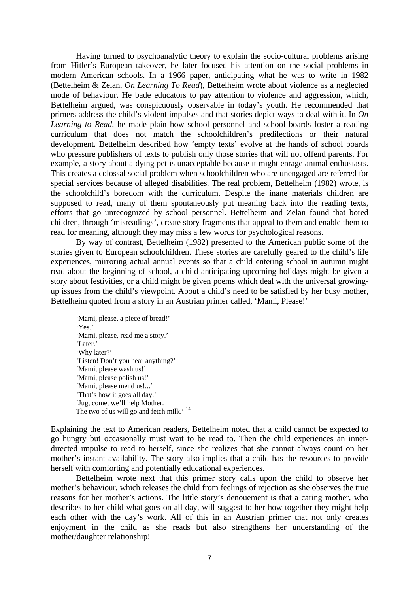Having turned to psychoanalytic theory to explain the socio-cultural problems arising from Hitler's European takeover, he later focused his attention on the social problems in modern American schools. In a 1966 paper, anticipating what he was to write in 1982 (Bettelheim & Zelan, *On Learning To Read*), Bettelheim wrote about violence as a neglected mode of behaviour. He bade educators to pay attention to violence and aggression, which, Bettelheim argued, was conspicuously observable in today's youth. He recommended that primers address the child's violent impulses and that stories depict ways to deal with it. In *On Learning to Read*, he made plain how school personnel and school boards foster a reading curriculum that does not match the schoolchildren's predilections or their natural development. Bettelheim described how 'empty texts' evolve at the hands of school boards who pressure publishers of texts to publish only those stories that will not offend parents. For example, a story about a dying pet is unacceptable because it might enrage animal enthusiasts. This creates a colossal social problem when schoolchildren who are unengaged are referred for special services because of alleged disabilities. The real problem, Bettelheim (1982) wrote, is the schoolchild's boredom with the curriculum. Despite the inane materials children are supposed to read, many of them spontaneously put meaning back into the reading texts, efforts that go unrecognized by school personnel. Bettelheim and Zelan found that bored children, through 'misreadings', create story fragments that appeal to them and enable them to read for meaning, although they may miss a few words for psychological reasons.

By way of contrast, Bettelheim (1982) presented to the American public some of the stories given to European schoolchildren. These stories are carefully geared to the child's life experiences, mirroring actual annual events so that a child entering school in autumn might read about the beginning of school, a child anticipating upcoming holidays might be given a story about festivities, or a child might be given poems which deal with the universal growingup issues from the child's viewpoint. About a child's need to be satisfied by her busy mother, Bettelheim quoted from a story in an Austrian primer called, 'Mami, Please!'

'Mami, please, a piece of bread!' 'Yes.' 'Mami, please, read me a story.' 'Later.' 'Why later?' 'Listen! Don't you hear anything?' 'Mami, please wash us!' 'Mami, please polish us!' 'Mami, please mend us!...' 'That's how it goes all day.' 'Jug, come, we'll help Mother. The two of us will go and fetch milk.' <sup>14</sup>

Explaining the text to American readers, Bettelheim noted that a child cannot be expected to go hungry but occasionally must wait to be read to. Then the child experiences an innerdirected impulse to read to herself, since she realizes that she cannot always count on her mother's instant availability. The story also implies that a child has the resources to provide herself with comforting and potentially educational experiences.

Bettelheim wrote next that this primer story calls upon the child to observe her mother's behaviour, which releases the child from feelings of rejection as she observes the true reasons for her mother's actions. The little story's denouement is that a caring mother, who describes to her child what goes on all day, will suggest to her how together they might help each other with the day's work. All of this in an Austrian primer that not only creates enjoyment in the child as she reads but also strengthens her understanding of the mother/daughter relationship!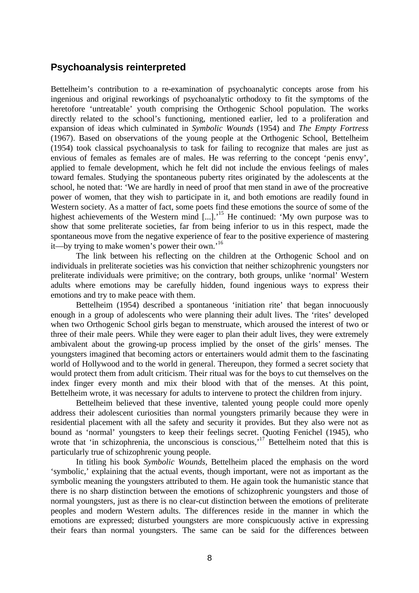## **Psychoanalysis reinterpreted**

Bettelheim's contribution to a re-examination of psychoanalytic concepts arose from his ingenious and original reworkings of psychoanalytic orthodoxy to fit the symptoms of the heretofore 'untreatable' youth comprising the Orthogenic School population. The works directly related to the school's functioning, mentioned earlier, led to a proliferation and expansion of ideas which culminated in *Symbolic Wounds* (1954) and *The Empty Fortress* (1967). Based on observations of the young people at the Orthogenic School, Bettelheim (1954) took classical psychoanalysis to task for failing to recognize that males are just as envious of females as females are of males. He was referring to the concept 'penis envy', applied to female development, which he felt did not include the envious feelings of males toward females. Studying the spontaneous puberty rites originated by the adolescents at the school, he noted that: 'We are hardly in need of proof that men stand in awe of the procreative power of women, that they wish to participate in it, and both emotions are readily found in Western society. As a matter of fact, some poets find these emotions the source of some of the highest achievements of the Western mind [...].<sup>15</sup> He continued: 'My own purpose was to show that some preliterate societies, far from being inferior to us in this respect, made the spontaneous move from the negative experience of fear to the positive experience of mastering it—by trying to make women's power their own.<sup>16</sup>

The link between his reflecting on the children at the Orthogenic School and on individuals in preliterate societies was his conviction that neither schizophrenic youngsters nor preliterate individuals were primitive; on the contrary, both groups, unlike 'normal' Western adults where emotions may be carefully hidden, found ingenious ways to express their emotions and try to make peace with them.

Bettelheim (1954) described a spontaneous 'initiation rite' that began innocuously enough in a group of adolescents who were planning their adult lives. The 'rites' developed when two Orthogenic School girls began to menstruate, which aroused the interest of two or three of their male peers. While they were eager to plan their adult lives, they were extremely ambivalent about the growing-up process implied by the onset of the girls' menses. The youngsters imagined that becoming actors or entertainers would admit them to the fascinating world of Hollywood and to the world in general. Thereupon, they formed a secret society that would protect them from adult criticism. Their ritual was for the boys to cut themselves on the index finger every month and mix their blood with that of the menses. At this point, Bettelheim wrote, it was necessary for adults to intervene to protect the children from injury.

Bettelheim believed that these inventive, talented young people could more openly address their adolescent curiosities than normal youngsters primarily because they were in residential placement with all the safety and security it provides. But they also were not as bound as 'normal' youngsters to keep their feelings secret. Quoting Fenichel (1945), who wrote that 'in schizophrenia, the unconscious is conscious,<sup>17</sup> Bettelheim noted that this is particularly true of schizophrenic young people.

In titling his book *Symbolic Wounds*, Bettelheim placed the emphasis on the word 'symbolic,' explaining that the actual events, though important, were not as important as the symbolic meaning the youngsters attributed to them. He again took the humanistic stance that there is no sharp distinction between the emotions of schizophrenic youngsters and those of normal youngsters, just as there is no clear-cut distinction between the emotions of preliterate peoples and modern Western adults. The differences reside in the manner in which the emotions are expressed; disturbed youngsters are more conspicuously active in expressing their fears than normal youngsters. The same can be said for the differences between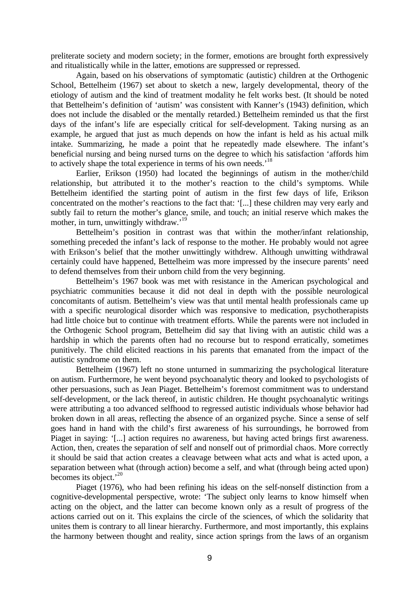preliterate society and modern society; in the former, emotions are brought forth expressively and ritualistically while in the latter, emotions are suppressed or repressed.

Again, based on his observations of symptomatic (autistic) children at the Orthogenic School, Bettelheim (1967) set about to sketch a new, largely developmental, theory of the etiology of autism and the kind of treatment modality he felt works best. (It should be noted that Bettelheim's definition of 'autism' was consistent with Kanner's (1943) definition, which does not include the disabled or the mentally retarded.) Bettelheim reminded us that the first days of the infant's life are especially critical for self-development. Taking nursing as an example, he argued that just as much depends on how the infant is held as his actual milk intake. Summarizing, he made a point that he repeatedly made elsewhere. The infant's beneficial nursing and being nursed turns on the degree to which his satisfaction 'affords him to actively shape the total experience in terms of his own needs.<sup>18</sup>

Earlier, Erikson (1950) had located the beginnings of autism in the mother/child relationship, but attributed it to the mother's reaction to the child's symptoms. While Bettelheim identified the starting point of autism in the first few days of life, Erikson concentrated on the mother's reactions to the fact that: '[...] these children may very early and subtly fail to return the mother's glance, smile, and touch; an initial reserve which makes the mother, in turn, unwittingly withdraw.<sup>19</sup>

Bettelheim's position in contrast was that within the mother/infant relationship, something preceded the infant's lack of response to the mother. He probably would not agree with Erikson's belief that the mother unwittingly withdrew. Although unwitting withdrawal certainly could have happened, Bettelheim was more impressed by the insecure parents' need to defend themselves from their unborn child from the very beginning.

Bettelheim's 1967 book was met with resistance in the American psychological and psychiatric communities because it did not deal in depth with the possible neurological concomitants of autism. Bettelheim's view was that until mental health professionals came up with a specific neurological disorder which was responsive to medication, psychotherapists had little choice but to continue with treatment efforts. While the parents were not included in the Orthogenic School program, Bettelheim did say that living with an autistic child was a hardship in which the parents often had no recourse but to respond erratically, sometimes punitively. The child elicited reactions in his parents that emanated from the impact of the autistic syndrome on them.

Bettelheim (1967) left no stone unturned in summarizing the psychological literature on autism. Furthermore, he went beyond psychoanalytic theory and looked to psychologists of other persuasions, such as Jean Piaget. Bettelheim's foremost commitment was to understand self-development, or the lack thereof, in autistic children. He thought psychoanalytic writings were attributing a too advanced selfhood to regressed autistic individuals whose behavior had broken down in all areas, reflecting the absence of an organized psyche. Since a sense of self goes hand in hand with the child's first awareness of his surroundings, he borrowed from Piaget in saying: '[...] action requires no awareness, but having acted brings first awareness. Action, then, creates the separation of self and nonself out of primordial chaos. More correctly it should be said that action creates a cleavage between what acts and what is acted upon, a separation between what (through action) become a self, and what (through being acted upon) becomes its object.<sup>20</sup>

Piaget (1976), who had been refining his ideas on the self-nonself distinction from a cognitive-developmental perspective, wrote: 'The subject only learns to know himself when acting on the object, and the latter can become known only as a result of progress of the actions carried out on it. This explains the circle of the sciences, of which the solidarity that unites them is contrary to all linear hierarchy. Furthermore, and most importantly, this explains the harmony between thought and reality, since action springs from the laws of an organism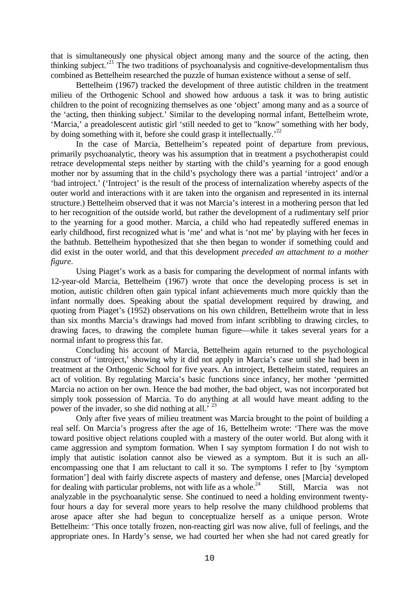that is simultaneously one physical object among many and the source of the acting, then thinking subject.<sup> $21$ </sup> The two traditions of psychoanalysis and cognitive-developmentalism thus combined as Bettelheim researched the puzzle of human existence without a sense of self.

Bettelheim (1967) tracked the development of three autistic children in the treatment milieu of the Orthogenic School and showed how arduous a task it was to bring autistic children to the point of recognizing themselves as one 'object' among many and as a source of the 'acting, then thinking subject.' Similar to the developing normal infant, Bettelheim wrote, 'Marcia,' a preadolescent autistic girl 'still needed to get to "know" something with her body, by doing something with it, before she could grasp it intellectually.<sup>22</sup>

In the case of Marcia, Bettelheim's repeated point of departure from previous, primarily psychoanalytic, theory was his assumption that in treatment a psychotherapist could retrace developmental steps neither by starting with the child's yearning for a good enough mother nor by assuming that in the child's psychology there was a partial 'introject' and/or a 'bad introject.' ('Introject' is the result of the process of internalization whereby aspects of the outer world and interactions with it are taken into the organism and represented in its internal structure.) Bettelheim observed that it was not Marcia's interest in a mothering person that led to her recognition of the outside world, but rather the development of a rudimentary self prior to the yearning for a good mother. Marcia, a child who had repeatedly suffered enemas in early childhood, first recognized what is 'me' and what is 'not me' by playing with her feces in the bathtub. Bettelheim hypothesized that she then began to wonder if something could and did exist in the outer world, and that this development *preceded an attachment to a mother figure*.

Using Piaget's work as a basis for comparing the development of normal infants with 12-year-old Marcia, Bettelheim (1967) wrote that once the developing process is set in motion, autistic children often gain typical infant achievements much more quickly than the infant normally does. Speaking about the spatial development required by drawing, and quoting from Piaget's (1952) observations on his own children, Bettelheim wrote that in less than six months Marcia's drawings had moved from infant scribbling to drawing circles, to drawing faces, to drawing the complete human figure—while it takes several years for a normal infant to progress this far.

Concluding his account of Marcia, Bettelheim again returned to the psychological construct of 'introject,' showing why it did not apply in Marcia's case until she had been in treatment at the Orthogenic School for five years. An introject, Bettelheim stated, requires an act of volition. By regulating Marcia's basic functions since infancy, her mother 'permitted Marcia no action on her own. Hence the bad mother, the bad object, was not incorporated but simply took possession of Marcia. To do anything at all would have meant adding to the power of the invader, so she did nothing at all.<sup>' 23</sup>

Only after five years of milieu treatment was Marcia brought to the point of building a real self. On Marcia's progress after the age of 16, Bettelheim wrote: 'There was the move toward positive object relations coupled with a mastery of the outer world. But along with it came aggression and symptom formation. When I say symptom formation I do not wish to imply that autistic isolation cannot also be viewed as a symptom. But it is such an allencompassing one that I am reluctant to call it so. The symptoms I refer to [by 'symptom formation'] deal with fairly discrete aspects of mastery and defense, ones [Marcia] developed for dealing with particular problems, not with life as a whole.<sup>24</sup> Still, Marcia was not analyzable in the psychoanalytic sense. She continued to need a holding environment twentyfour hours a day for several more years to help resolve the many childhood problems that arose apace after she had begun to conceptualize herself as a unique person. Wrote Bettelheim: 'This once totally frozen, non-reacting girl was now alive, full of feelings, and the appropriate ones. In Hardy's sense, we had courted her when she had not cared greatly for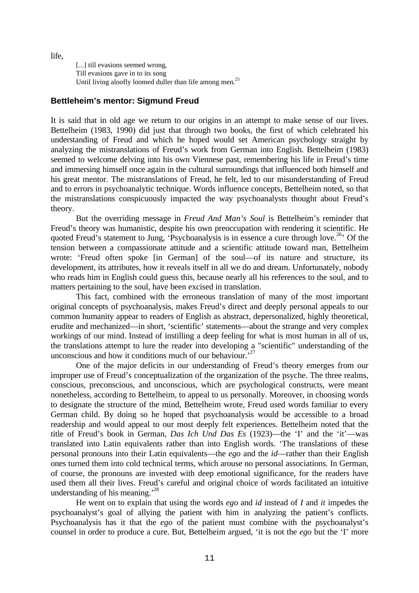life,

[...] till evasions seemed wrong, Till evasions gave in to its song Until living aloofly loomed duller than life among men.<sup>25</sup>

#### **Bettleheim's mentor: Sigmund Freud**

It is said that in old age we return to our origins in an attempt to make sense of our lives. Bettelheim (1983, 1990) did just that through two books, the first of which celebrated his understanding of Freud and which he hoped would set American psychology straight by analyzing the mistranslations of Freud's work from German into English. Bettelheim (1983) seemed to welcome delving into his own Viennese past, remembering his life in Freud's time and immersing himself once again in the cultural surroundings that influenced both himself and his great mentor. The mistranslations of Freud, he felt, led to our misunderstanding of Freud and to errors in psychoanalytic technique. Words influence concepts, Bettelheim noted, so that the mistranslations conspicuously impacted the way psychoanalysts thought about Freud's theory.

But the overriding message in *Freud And Man's Soul* is Bettelheim's reminder that Freud's theory was humanistic, despite his own preoccupation with rendering it scientific. He quoted Freud's statement to Jung, 'Psychoanalysis is in essence a cure through love.<sup>26</sup> Of the tension between a compassionate attitude and a scientific attitude toward man, Bettelheim wrote: 'Freud often spoke [in German] of the soul—of its nature and structure, its development, its attributes, how it reveals itself in all we do and dream. Unfortunately, nobody who reads him in English could guess this, because nearly all his references to the soul, and to matters pertaining to the soul, have been excised in translation.

This fact, combined with the erroneous translation of many of the most important original concepts of psychoanalysis, makes Freud's direct and deeply personal appeals to our common humanity appear to readers of English as abstract, depersonalized, highly theoretical, erudite and mechanized—in short, 'scientific' statements—about the strange and very complex workings of our mind. Instead of instilling a deep feeling for what is most human in all of us, the translations attempt to lure the reader into developing a "scientific" understanding of the unconscious and how it conditions much of our behaviour.<sup>2</sup>

One of the major deficits in our understanding of Freud's theory emerges from our improper use of Freud's conceptualization of the organization of the psyche. The three realms, conscious, preconscious, and unconscious, which are psychological constructs, were meant nonetheless, according to Bettelheim, to appeal to us personally. Moreover, in choosing words to designate the structure of the mind, Bettelheim wrote, Freud used words familiar to every German child. By doing so he hoped that psychoanalysis would be accessible to a broad readership and would appeal to our most deeply felt experiences. Bettelheim noted that the title of Freud's book in German, *Das Ich Und Das Es* (1923)—the 'I' and the 'it'—was translated into Latin equivalents rather than into English words. 'The translations of these personal pronouns into their Latin equivalents—the *ego* and the *id*—rather than their English ones turned them into cold technical terms, which arouse no personal associations. In German, of course, the pronouns are invested with deep emotional significance, for the readers have used them all their lives. Freud's careful and original choice of words facilitated an intuitive understanding of his meaning.<sup>28</sup>

He went on to explain that using the words *ego* and *id* instead of *I* and *it* impedes the psychoanalyst's goal of allying the patient with him in analyzing the patient's conflicts. Psychoanalysis has it that the *ego* of the patient must combine with the psychoanalyst's counsel in order to produce a cure. But, Bettelheim argued, 'it is not the *ego* but the 'I' more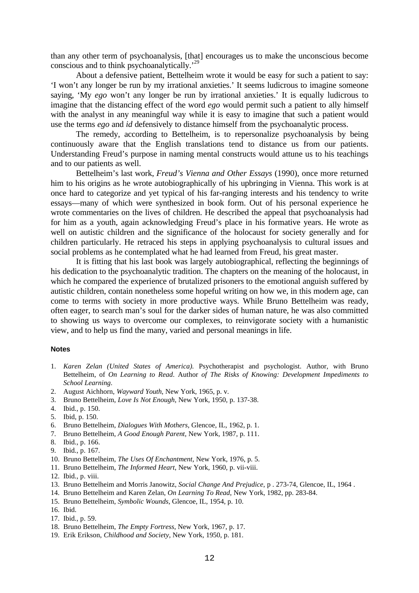than any other term of psychoanalysis, [that] encourages us to make the unconscious become conscious and to think psychoanalytically.'<sup>29</sup>

About a defensive patient, Bettelheim wrote it would be easy for such a patient to say: 'I won't any longer be run by my irrational anxieties.' It seems ludicrous to imagine someone saying, 'My *ego* won't any longer be run by irrational anxieties.' It is equally ludicrous to imagine that the distancing effect of the word *ego* would permit such a patient to ally himself with the analyst in any meaningful way while it is easy to imagine that such a patient would use the terms *ego* and *id* defensively to distance himself from the psychoanalytic process.

The remedy, according to Bettelheim, is to repersonalize psychoanalysis by being continuously aware that the English translations tend to distance us from our patients. Understanding Freud's purpose in naming mental constructs would attune us to his teachings and to our patients as well.

Bettelheim's last work, *Freud's Vienna and Other Essays* (1990), once more returned him to his origins as he wrote autobiographically of his upbringing in Vienna. This work is at once hard to categorize and yet typical of his far-ranging interests and his tendency to write essays—many of which were synthesized in book form. Out of his personal experience he wrote commentaries on the lives of children. He described the appeal that psychoanalysis had for him as a youth, again acknowledging Freud's place in his formative years. He wrote as well on autistic children and the significance of the holocaust for society generally and for children particularly. He retraced his steps in applying psychoanalysis to cultural issues and social problems as he contemplated what he had learned from Freud, his great master.

It is fitting that his last book was largely autobiographical, reflecting the beginnings of his dedication to the psychoanalytic tradition. The chapters on the meaning of the holocaust, in which he compared the experience of brutalized prisoners to the emotional anguish suffered by autistic children, contain nonetheless some hopeful writing on how we, in this modern age, can come to terms with society in more productive ways. While Bruno Bettelheim was ready, often eager, to search man's soul for the darker sides of human nature, he was also committed to showing us ways to overcome our complexes, to reinvigorate society with a humanistic view, and to help us find the many, varied and personal meanings in life.

#### **Notes**

- 1. *Karen Zelan (United States of America).* Psychotherapist and psychologist. Author, with Bruno Bettelheim, of *On Learning to Read*. Author *of The Risks of Knowing: Development Impediments to School Learning*.
- 2. August Aichhorn, *Wayward Youth*, New York, 1965, p. v.
- 3. Bruno Bettelheim, *Love Is Not Enough*, New York, 1950, p. 137-38.
- 4. Ibid., p. 150.
- 5. Ibid, p. 150.
- 6. Bruno Bettelheim, *Dialogues With Mothers*, Glencoe, IL, 1962, p. 1.
- 7. Bruno Bettelheim, *A Good Enough Parent*, New York, 1987, p. 111.
- 8. Ibid., p. 166.
- 9. Ibid., p. 167.
- 10. Bruno Bettelheim, *The Uses Of Enchantment*, New York, 1976, p. 5.
- 11. Bruno Bettelheim, *The Informed Heart*, New York, 1960, p. vii-viii.
- 12. Ibid., p. viii.
- 13. Bruno Bettelheim and Morris Janowitz, *Social Change And Prejudice*, p . 273-74, Glencoe, IL, 1964 .
- 14. Bruno Bettelheim and Karen Zelan, *On Learning To Read*, New York, 1982, pp. 283-84.
- 15. Bruno Bettelheim, *Symbolic Wounds*, Glencoe, IL, 1954, p. 10.
- 16. Ibid.
- 17. Ibid., p. 59.
- 18. Bruno Bettelheim, *The Empty Fortress*, New York, 1967, p. 17.
- 19. Erik Erikson, *Childhood and Society*, New York, 1950, p. 181.